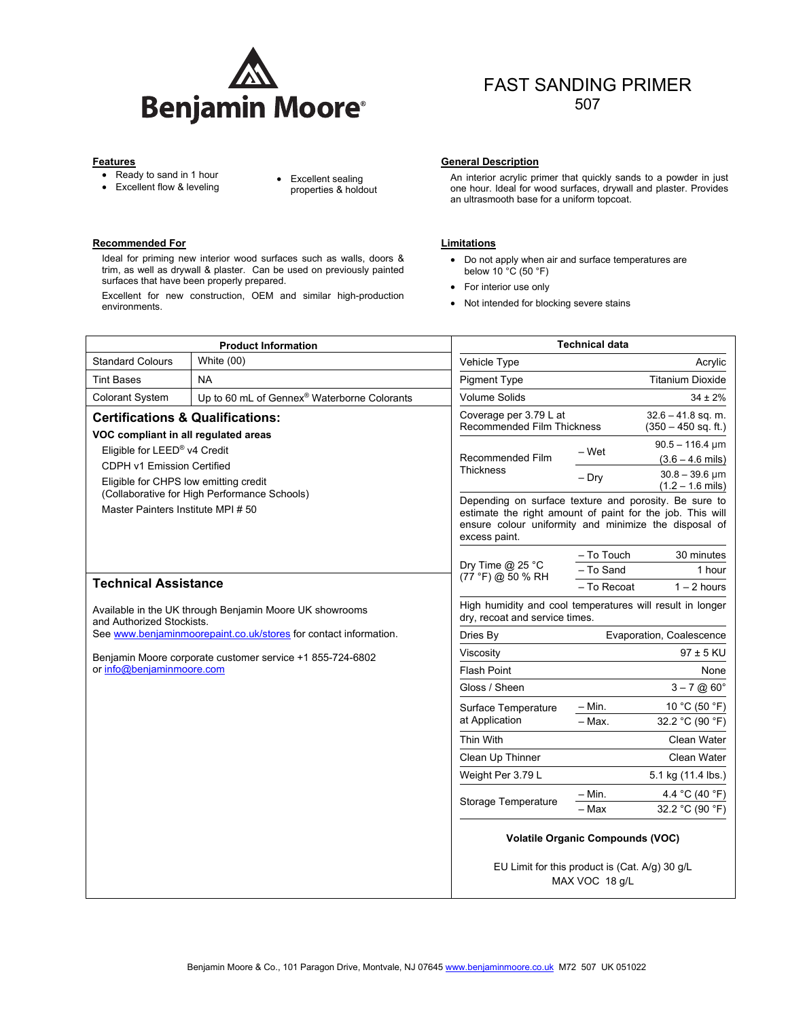

- Ready to sand in 1 hour
- 
- Ready to sand in 1 nour<br>• Excellent flow & leveling **by the Sealing** by properties & hold properties & holdout

## **Recommended For Comment Comment Comment Comment Comment Comment Comment Comment Comment Comment Comment Comment Comment Comment Comment Comment Comment Comment Comment Comment Comment Comment Comment Comment Comment Comme**

Ideal for priming new interior wood surfaces such as walls, doors & trim, as well as drywall & plaster. Can be used on previously painted surfaces that have been properly prepared.

Excellent for new construction, OEM and similar high-production environments.

#### **Features General Description General Description**

An interior acrylic primer that quickly sands to a powder in just one hour. Ideal for wood surfaces, drywall and plaster. Provides an ultrasmooth base for a uniform topcoat.

FAST SANDING PRIMER 507

- Do not apply when air and surface temperatures are below 10 °C (50 °F)
- For interior use only
- Not intended for blocking severe stains

| <b>Product Information</b>                                                                                                                                                                                                                    |                                                         | <b>Technical data</b>                                                                                                                                                                        |                                                                             |                                                           |
|-----------------------------------------------------------------------------------------------------------------------------------------------------------------------------------------------------------------------------------------------|---------------------------------------------------------|----------------------------------------------------------------------------------------------------------------------------------------------------------------------------------------------|-----------------------------------------------------------------------------|-----------------------------------------------------------|
| <b>Standard Colours</b>                                                                                                                                                                                                                       | White $(00)$                                            | Vehicle Type                                                                                                                                                                                 |                                                                             | Acrylic                                                   |
| <b>Tint Bases</b>                                                                                                                                                                                                                             | <b>NA</b>                                               | <b>Pigment Type</b>                                                                                                                                                                          |                                                                             | <b>Titanium Dioxide</b>                                   |
| <b>Colorant System</b>                                                                                                                                                                                                                        | Up to 60 mL of Gennex <sup>®</sup> Waterborne Colorants | <b>Volume Solids</b>                                                                                                                                                                         |                                                                             | $34 \pm 2\%$                                              |
| <b>Certifications &amp; Qualifications:</b>                                                                                                                                                                                                   |                                                         | Coverage per 3.79 L at                                                                                                                                                                       | $32.6 - 41.8$ sq. m.<br>Recommended Film Thickness<br>$(350 - 450$ sq. ft.) |                                                           |
| VOC compliant in all regulated areas<br>Eligible for LEED <sup>®</sup> v4 Credit<br>CDPH v1 Emission Certified<br>Eligible for CHPS low emitting credit<br>(Collaborative for High Performance Schools)<br>Master Painters Institute MPI # 50 |                                                         | Recommended Film<br><b>Thickness</b>                                                                                                                                                         | – Wet                                                                       | $90.5 - 116.4 \,\text{µm}$<br>$(3.6 - 4.6 \text{ miles})$ |
|                                                                                                                                                                                                                                               |                                                         |                                                                                                                                                                                              | $-$ Dry                                                                     | $30.8 - 39.6$ µm<br>$(1.2 - 1.6 \text{ miles})$           |
|                                                                                                                                                                                                                                               |                                                         | Depending on surface texture and porosity. Be sure to<br>estimate the right amount of paint for the job. This will<br>ensure colour uniformity and minimize the disposal of<br>excess paint. |                                                                             |                                                           |
| <b>Technical Assistance</b>                                                                                                                                                                                                                   |                                                         | Dry Time $@$ 25 °C<br>(77 °F) @ 50 % RH                                                                                                                                                      | - To Touch                                                                  | 30 minutes                                                |
|                                                                                                                                                                                                                                               |                                                         |                                                                                                                                                                                              | - To Sand                                                                   | 1 hour                                                    |
|                                                                                                                                                                                                                                               |                                                         |                                                                                                                                                                                              | - To Recoat                                                                 | $1 - 2$ hours                                             |
| Available in the UK through Benjamin Moore UK showrooms<br>and Authorized Stockists.                                                                                                                                                          |                                                         | High humidity and cool temperatures will result in longer<br>dry, recoat and service times.                                                                                                  |                                                                             |                                                           |
| See www.benjaminmoorepaint.co.uk/stores for contact information.                                                                                                                                                                              |                                                         | Dries By                                                                                                                                                                                     |                                                                             | Evaporation, Coalescence                                  |
| Benjamin Moore corporate customer service +1 855-724-6802<br>or info@benjaminmoore.com                                                                                                                                                        |                                                         | Viscosity                                                                                                                                                                                    |                                                                             | $97 \pm 5$ KU                                             |
|                                                                                                                                                                                                                                               |                                                         | <b>Flash Point</b>                                                                                                                                                                           |                                                                             | None                                                      |
|                                                                                                                                                                                                                                               |                                                         | Gloss / Sheen                                                                                                                                                                                |                                                                             | $3 - 7$ @ 60 $^{\circ}$                                   |
|                                                                                                                                                                                                                                               |                                                         | Surface Temperature                                                                                                                                                                          | $-$ Min.                                                                    | 10 °C (50 °F)                                             |
|                                                                                                                                                                                                                                               |                                                         | at Application                                                                                                                                                                               | $-$ Max.                                                                    | 32.2 °C (90 °F)                                           |
|                                                                                                                                                                                                                                               |                                                         | Thin With                                                                                                                                                                                    |                                                                             | <b>Clean Water</b>                                        |
|                                                                                                                                                                                                                                               |                                                         | Clean Up Thinner                                                                                                                                                                             |                                                                             | Clean Water                                               |
|                                                                                                                                                                                                                                               |                                                         | Weight Per 3.79 L                                                                                                                                                                            |                                                                             | 5.1 kg (11.4 lbs.)                                        |
|                                                                                                                                                                                                                                               |                                                         | Storage Temperature                                                                                                                                                                          | $- Min.$                                                                    | 4.4 °C (40 °F)                                            |
|                                                                                                                                                                                                                                               |                                                         |                                                                                                                                                                                              | - Max                                                                       | 32.2 °C (90 °F)                                           |
|                                                                                                                                                                                                                                               |                                                         | <b>Volatile Organic Compounds (VOC)</b>                                                                                                                                                      |                                                                             |                                                           |
|                                                                                                                                                                                                                                               |                                                         | EU Limit for this product is (Cat. A/g) 30 g/L<br>MAX VOC 18 g/L                                                                                                                             |                                                                             |                                                           |